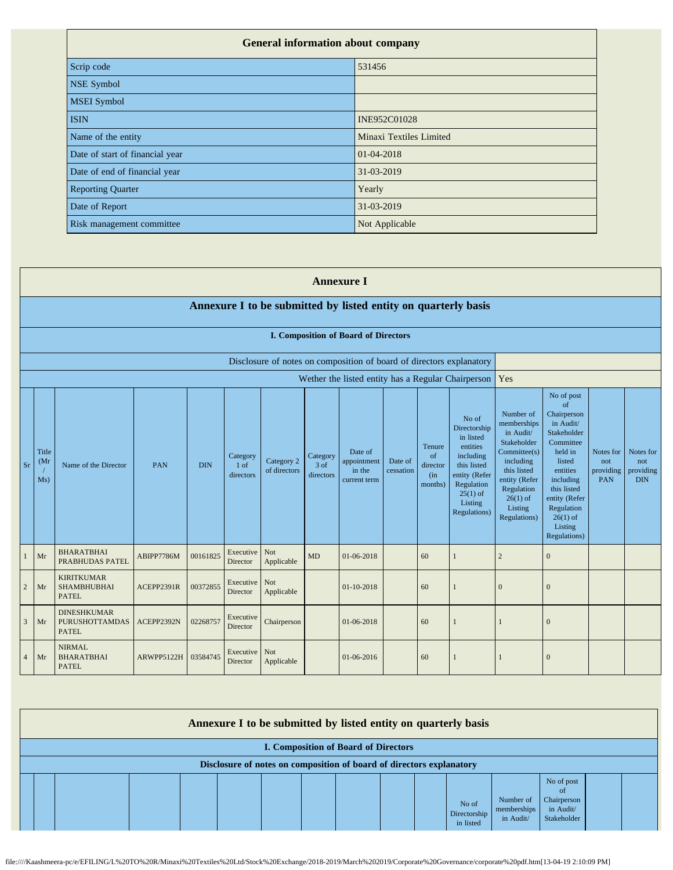| <b>General information about company</b> |                         |
|------------------------------------------|-------------------------|
| Scrip code                               | 531456                  |
| <b>NSE Symbol</b>                        |                         |
| <b>MSEI</b> Symbol                       |                         |
| <b>ISIN</b>                              | <b>INE952C01028</b>     |
| Name of the entity                       | Minaxi Textiles Limited |
| Date of start of financial year          | 01-04-2018              |
| Date of end of financial year            | 31-03-2019              |
| <b>Reporting Quarter</b>                 | Yearly                  |
| Date of Report                           | 31-03-2019              |
| Risk management committee                | Not Applicable          |

|                |                      | <b>Annexure I</b>                                              |            |            |                                 |                            |                                 |                                                                      |                      |                                            |                                                                                                                                                    |                                                                                                                                                                          |                                                                                                                                                                                                               |                                             |                                             |
|----------------|----------------------|----------------------------------------------------------------|------------|------------|---------------------------------|----------------------------|---------------------------------|----------------------------------------------------------------------|----------------------|--------------------------------------------|----------------------------------------------------------------------------------------------------------------------------------------------------|--------------------------------------------------------------------------------------------------------------------------------------------------------------------------|---------------------------------------------------------------------------------------------------------------------------------------------------------------------------------------------------------------|---------------------------------------------|---------------------------------------------|
|                |                      | Annexure I to be submitted by listed entity on quarterly basis |            |            |                                 |                            |                                 |                                                                      |                      |                                            |                                                                                                                                                    |                                                                                                                                                                          |                                                                                                                                                                                                               |                                             |                                             |
|                |                      | I. Composition of Board of Directors                           |            |            |                                 |                            |                                 |                                                                      |                      |                                            |                                                                                                                                                    |                                                                                                                                                                          |                                                                                                                                                                                                               |                                             |                                             |
|                |                      |                                                                |            |            |                                 |                            |                                 | Disclosure of notes on composition of board of directors explanatory |                      |                                            |                                                                                                                                                    |                                                                                                                                                                          |                                                                                                                                                                                                               |                                             |                                             |
|                |                      | Wether the listed entity has a Regular Chairperson             |            |            |                                 |                            |                                 |                                                                      |                      |                                            |                                                                                                                                                    | Yes                                                                                                                                                                      |                                                                                                                                                                                                               |                                             |                                             |
| Sr             | Title<br>(Mr)<br>Ms) | Name of the Director                                           | PAN        | <b>DIN</b> | Category<br>$1$ of<br>directors | Category 2<br>of directors | Category<br>$3$ of<br>directors | Date of<br>appointment<br>in the<br>current term                     | Date of<br>cessation | Tenure<br>of<br>director<br>(in<br>months) | No of<br>Directorship<br>in listed<br>entities<br>including<br>this listed<br>entity (Refer<br>Regulation<br>$25(1)$ of<br>Listing<br>Regulations) | Number of<br>memberships<br>in Audit/<br>Stakeholder<br>Committee(s)<br>including<br>this listed<br>entity (Refer<br>Regulation<br>$26(1)$ of<br>Listing<br>Regulations) | No of post<br>of<br>Chairperson<br>in Audit/<br>Stakeholder<br>Committee<br>held in<br>listed<br>entities<br>including<br>this listed<br>entity (Refer<br>Regulation<br>$26(1)$ of<br>Listing<br>Regulations) | Notes for<br>not<br>providing<br><b>PAN</b> | Notes for<br>not<br>providing<br><b>DIN</b> |
|                | Mr                   | <b>BHARATBHAI</b><br>PRABHUDAS PATEL                           | ABIPP7786M | 00161825   | Executive<br>Director           | Not<br>Applicable          | MD                              | 01-06-2018                                                           |                      | 60                                         |                                                                                                                                                    | $\overline{2}$                                                                                                                                                           | $\mathbf{0}$                                                                                                                                                                                                  |                                             |                                             |
| $\overline{2}$ | Mr                   | <b>KIRITKUMAR</b><br><b>SHAMBHUBHAI</b><br><b>PATEL</b>        | ACEPP2391R | 00372855   | Executive<br>Director           | Not<br>Applicable          |                                 | $01 - 10 - 2018$                                                     |                      | 60                                         |                                                                                                                                                    | $\overline{0}$                                                                                                                                                           | $\mathbf{0}$                                                                                                                                                                                                  |                                             |                                             |
| 3              | Mr                   | <b>DINESHKUMAR</b><br><b>PURUSHOTTAMDAS</b><br><b>PATEL</b>    | ACEPP2392N | 02268757   | Executive<br>Director           | Chairperson                |                                 | 01-06-2018                                                           |                      | 60                                         |                                                                                                                                                    |                                                                                                                                                                          | $\overline{0}$                                                                                                                                                                                                |                                             |                                             |
| $\overline{4}$ | Mr                   | <b>NIRMAL</b><br><b>BHARATBHAI</b><br><b>PATEL</b>             | ARWPP5122H | 03584745   | Executive<br>Director           | Not<br>Applicable          |                                 | 01-06-2016                                                           |                      | 60                                         |                                                                                                                                                    |                                                                                                                                                                          | $\Omega$                                                                                                                                                                                                      |                                             |                                             |

| Annexure I to be submitted by listed entity on quarterly basis       |  |  |  |  |  |  |  |  |  |                                    |                                       |                                                              |  |  |
|----------------------------------------------------------------------|--|--|--|--|--|--|--|--|--|------------------------------------|---------------------------------------|--------------------------------------------------------------|--|--|
| <b>I. Composition of Board of Directors</b>                          |  |  |  |  |  |  |  |  |  |                                    |                                       |                                                              |  |  |
| Disclosure of notes on composition of board of directors explanatory |  |  |  |  |  |  |  |  |  |                                    |                                       |                                                              |  |  |
|                                                                      |  |  |  |  |  |  |  |  |  | No of<br>Directorship<br>in listed | Number of<br>memberships<br>in Audit/ | No of post<br>-of<br>Chairperson<br>in Audit/<br>Stakeholder |  |  |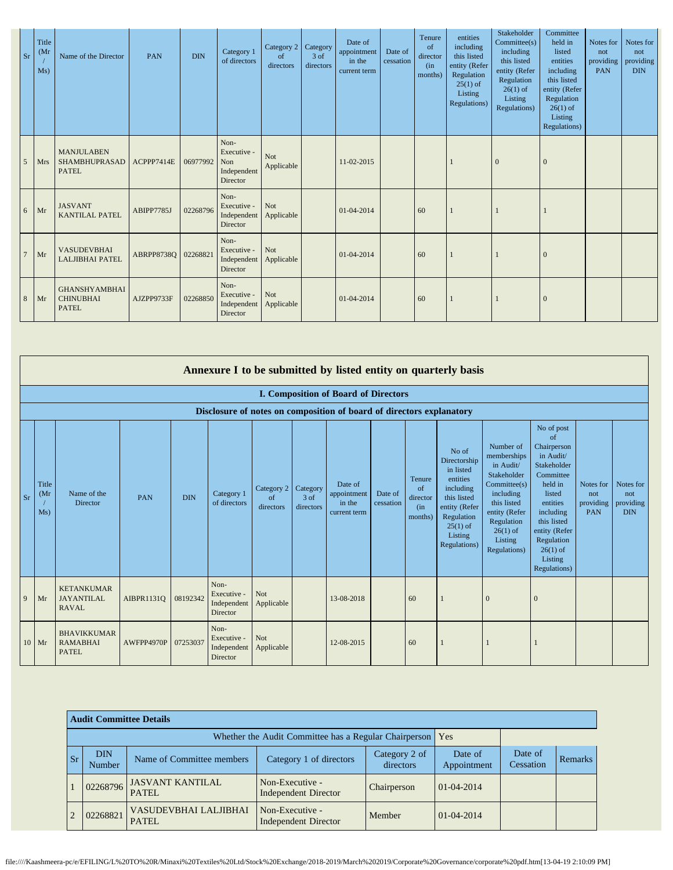| <b>Sr</b>      | Title<br>(Mr)<br>Ms) | Name of the Director                                      | PAN                 | <b>DIN</b> | Category 1<br>of directors                            | Category 2<br>of<br>directors | Category<br>3 of<br>directors | Date of<br>appointment<br>in the<br>current term | Date of<br>cessation | Tenure<br>of<br>director<br>(in<br>months) | entities<br>including<br>this listed<br>entity (Refer<br>Regulation<br>$25(1)$ of<br>Listing<br>Regulations) | Stakeholder<br>Committee(s)<br>including<br>this listed<br>entity (Refer<br>Regulation<br>$26(1)$ of<br>Listing<br>Regulations) | Committee<br>held in<br>listed<br>entities<br>including<br>this listed<br>entity (Refer<br>Regulation<br>$26(1)$ of<br>Listing<br>Regulations) | Notes for<br>not<br>providing<br>PAN | Notes for<br>not<br>providing<br><b>DIN</b> |
|----------------|----------------------|-----------------------------------------------------------|---------------------|------------|-------------------------------------------------------|-------------------------------|-------------------------------|--------------------------------------------------|----------------------|--------------------------------------------|--------------------------------------------------------------------------------------------------------------|---------------------------------------------------------------------------------------------------------------------------------|------------------------------------------------------------------------------------------------------------------------------------------------|--------------------------------------|---------------------------------------------|
| 5              | <b>Mrs</b>           | <b>MANJULABEN</b><br><b>SHAMBHUPRASAD</b><br><b>PATEL</b> | ACPPP7414E          | 06977992   | Non-<br>Executive -<br>Non<br>Independent<br>Director | Not<br>Applicable             |                               | 11-02-2015                                       |                      |                                            |                                                                                                              | $\mathbf{0}$                                                                                                                    | $\overline{0}$                                                                                                                                 |                                      |                                             |
| 6              | Mr                   | <b>JASVANT</b><br><b>KANTILAL PATEL</b>                   | ABIPP7785J          | 02268796   | Non-<br>Executive -<br>Independent<br>Director        | Not<br>Applicable             |                               | 01-04-2014                                       |                      | 60                                         |                                                                                                              |                                                                                                                                 |                                                                                                                                                |                                      |                                             |
| $\overline{7}$ | Mr                   | <b>VASUDEVBHAI</b><br><b>LALJIBHAI PATEL</b>              | ABRPP8738Q 02268821 |            | Non-<br>Executive -<br>Independent<br>Director        | Not<br>Applicable             |                               | 01-04-2014                                       |                      | 60                                         |                                                                                                              |                                                                                                                                 | $\overline{0}$                                                                                                                                 |                                      |                                             |
| 8              | Mr                   | <b>GHANSHYAMBHAI</b><br><b>CHINUBHAI</b><br><b>PATEL</b>  | AJZPP9733F          | 02268850   | Non-<br>Executive -<br>Independent<br>Director        | Not<br>Applicable             |                               | 01-04-2014                                       |                      | 60                                         |                                                                                                              |                                                                                                                                 | $\overline{0}$                                                                                                                                 |                                      |                                             |

|           | Annexure I to be submitted by listed entity on quarterly basis |                                                                      |                     |            |                                                |                                          |                     |                                                  |                      |                                            |                                                                                                                                                    |                                                                                                                                                                          |                                                                                                                                                                                                               |                                      |                                             |
|-----------|----------------------------------------------------------------|----------------------------------------------------------------------|---------------------|------------|------------------------------------------------|------------------------------------------|---------------------|--------------------------------------------------|----------------------|--------------------------------------------|----------------------------------------------------------------------------------------------------------------------------------------------------|--------------------------------------------------------------------------------------------------------------------------------------------------------------------------|---------------------------------------------------------------------------------------------------------------------------------------------------------------------------------------------------------------|--------------------------------------|---------------------------------------------|
|           | <b>I. Composition of Board of Directors</b>                    |                                                                      |                     |            |                                                |                                          |                     |                                                  |                      |                                            |                                                                                                                                                    |                                                                                                                                                                          |                                                                                                                                                                                                               |                                      |                                             |
|           |                                                                | Disclosure of notes on composition of board of directors explanatory |                     |            |                                                |                                          |                     |                                                  |                      |                                            |                                                                                                                                                    |                                                                                                                                                                          |                                                                                                                                                                                                               |                                      |                                             |
| <b>Sr</b> | Title<br>(Mr)<br>Ms)                                           | Name of the<br>Director                                              | PAN                 | <b>DIN</b> | Category 1<br>of directors                     | Category 2   Category<br>of<br>directors | $3$ of<br>directors | Date of<br>appointment<br>in the<br>current term | Date of<br>cessation | Tenure<br>of<br>director<br>(in<br>months) | No of<br>Directorship<br>in listed<br>entities<br>including<br>this listed<br>entity (Refer<br>Regulation<br>$25(1)$ of<br>Listing<br>Regulations) | Number of<br>memberships<br>in Audit/<br>Stakeholder<br>Committed(s)<br>including<br>this listed<br>entity (Refer<br>Regulation<br>$26(1)$ of<br>Listing<br>Regulations) | No of post<br>of<br>Chairperson<br>in Audit/<br>Stakeholder<br>Committee<br>held in<br>listed<br>entities<br>including<br>this listed<br>entity (Refer<br>Regulation<br>$26(1)$ of<br>Listing<br>Regulations) | Notes for<br>not<br>providing<br>PAN | Notes for<br>not<br>providing<br><b>DIN</b> |
| 9         | Mr                                                             | <b>KETANKUMAR</b><br><b>JAYANTILAL</b><br><b>RAVAL</b>               | AIBPR11310          | 08192342   | Non-<br>Executive -<br>Independent<br>Director | Not<br>Applicable                        |                     | 13-08-2018                                       |                      | 60                                         |                                                                                                                                                    | $\mathbf{0}$                                                                                                                                                             | $\Omega$                                                                                                                                                                                                      |                                      |                                             |
|           | $10$ Mr                                                        | <b>BHAVIKKUMAR</b><br><b>RAMABHAI</b><br><b>PATEL</b>                | AWFPP4970P 07253037 |            | Non-<br>Executive -<br>Independent<br>Director | Not<br>Applicable                        |                     | 12-08-2015                                       |                      | 60                                         |                                                                                                                                                    |                                                                                                                                                                          |                                                                                                                                                                                                               |                                      |                                             |

|    | <b>Audit Committee Details</b> |                                  |                                                             |                            |                        |                      |         |  |
|----|--------------------------------|----------------------------------|-------------------------------------------------------------|----------------------------|------------------------|----------------------|---------|--|
|    |                                |                                  | Whether the Audit Committee has a Regular Chairperson   Yes |                            |                        |                      |         |  |
| Sr | <b>DIN</b><br>Number           | Name of Committee members        | Category 1 of directors                                     | Category 2 of<br>directors | Date of<br>Appointment | Date of<br>Cessation | Remarks |  |
|    | 02268796                       | <b>JASVANT KANTILAL</b><br>PATEL | Non-Executive -<br><b>Independent Director</b>              | Chairperson                | $01-04-2014$           |                      |         |  |
|    | 02268821                       | VASUDEVBHAI LALJIBHAI<br>PATEL   | Non-Executive -<br><b>Independent Director</b>              | Member                     | $01-04-2014$           |                      |         |  |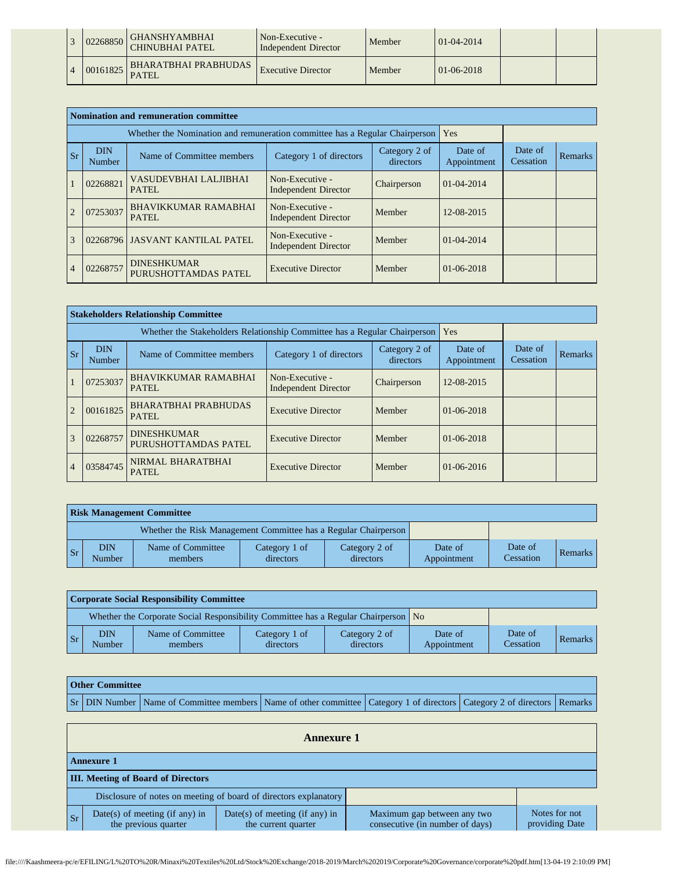| 02268850 | GHANSHYAMBHAI<br><b>CHINUBHAI PATEL</b> | Non-Executive -<br>Independent Director | Member | $01-04-2014$     |  |
|----------|-----------------------------------------|-----------------------------------------|--------|------------------|--|
| 00161825 | <b>BHARATBHAI PRABHUDAS</b><br>PATEL    | <b>Executive Director</b>               | Member | $01 - 06 - 2018$ |  |

|                |                      | Nomination and remuneration committee                                       |                                                |                            |                        |                      |         |
|----------------|----------------------|-----------------------------------------------------------------------------|------------------------------------------------|----------------------------|------------------------|----------------------|---------|
|                |                      | Whether the Nomination and remuneration committee has a Regular Chairperson |                                                |                            | Yes                    |                      |         |
| <b>Sr</b>      | <b>DIN</b><br>Number | Name of Committee members                                                   | Category 1 of directors                        | Category 2 of<br>directors | Date of<br>Appointment | Date of<br>Cessation | Remarks |
|                | 02268821             | VASUDEVBHAI LALJIBHAI<br>PATEL.                                             | Non-Executive -<br><b>Independent Director</b> | Chairperson                | 01-04-2014             |                      |         |
| $\mathcal{D}$  | 07253037             | <b>BHAVIKKUMAR RAMABHAI</b><br><b>PATEL</b>                                 | Non-Executive -<br><b>Independent Director</b> | Member                     | 12-08-2015             |                      |         |
| $\overline{3}$ |                      | 02268796 JASVANT KANTILAL PATEL                                             | Non-Executive -<br><b>Independent Director</b> | Member                     | 01-04-2014             |                      |         |
| $\overline{4}$ | 02268757             | <b>DINESHKUMAR</b><br>PURUSHOTTAMDAS PATEL                                  | <b>Executive Director</b>                      | Member                     | 01-06-2018             |                      |         |

|                |                      | <b>Stakeholders Relationship Committee</b>                                |                                                |                            |                        |                      |         |
|----------------|----------------------|---------------------------------------------------------------------------|------------------------------------------------|----------------------------|------------------------|----------------------|---------|
|                |                      | Whether the Stakeholders Relationship Committee has a Regular Chairperson |                                                |                            | Yes                    |                      |         |
| <b>Sr</b>      | <b>DIN</b><br>Number | Name of Committee members                                                 | Category 1 of directors                        | Category 2 of<br>directors | Date of<br>Appointment | Date of<br>Cessation | Remarks |
|                | 07253037             | <b>BHAVIKKUMAR RAMABHAI</b><br>PATEL                                      | Non-Executive -<br><b>Independent Director</b> | Chairperson                | 12-08-2015             |                      |         |
| $\overline{2}$ | 00161825             | <b>BHARATBHAI PRABHUDAS</b><br><b>PATEL</b>                               | <b>Executive Director</b>                      | Member                     | $01-06-2018$           |                      |         |
| $\overline{3}$ | 02268757             | <b>DINESHKUMAR</b><br>PURUSHOTTAMDAS PATEL                                | <b>Executive Director</b>                      | Member                     | $01-06-2018$           |                      |         |
| $\overline{4}$ | 03584745             | NIRMAL BHARATBHAI<br><b>PATEL</b>                                         | <b>Executive Director</b>                      | Member                     | $01-06-2016$           |                      |         |

|                | <b>Risk Management Committee</b> |                                                                 |                            |                            |                        |                      |         |  |  |  |  |
|----------------|----------------------------------|-----------------------------------------------------------------|----------------------------|----------------------------|------------------------|----------------------|---------|--|--|--|--|
|                |                                  | Whether the Risk Management Committee has a Regular Chairperson |                            |                            |                        |                      |         |  |  |  |  |
| $\mathbf{S}$ r | DIN<br>Number                    | Name of Committee<br>members                                    | Category 1 of<br>directors | Category 2 of<br>directors | Date of<br>Appointment | Date of<br>Cessation | Remarks |  |  |  |  |

|                | <b>Corporate Social Responsibility Committee</b> |                                                                                    |                            |                            |                        |                      |         |  |  |  |  |
|----------------|--------------------------------------------------|------------------------------------------------------------------------------------|----------------------------|----------------------------|------------------------|----------------------|---------|--|--|--|--|
|                |                                                  | Whether the Corporate Social Responsibility Committee has a Regular Chairperson No |                            |                            |                        |                      |         |  |  |  |  |
| $\mathbf{S}$ r | <b>DIN</b><br>Number                             | Name of Committee<br>members                                                       | Category 1 of<br>directors | Category 2 of<br>directors | Date of<br>Appointment | Date of<br>Cessation | Remarks |  |  |  |  |

| <b>Other Committee</b> |                                                                                                                                     |  |  |  |  |  |  |  |  |
|------------------------|-------------------------------------------------------------------------------------------------------------------------------------|--|--|--|--|--|--|--|--|
|                        | Sr   DIN Number   Name of Committee members   Name of other committee   Category 1 of directors   Category 2 of directors   Remarks |  |  |  |  |  |  |  |  |

|           | <b>Annexure 1</b>                                      |                                                                  |                                                                |                                 |  |  |
|-----------|--------------------------------------------------------|------------------------------------------------------------------|----------------------------------------------------------------|---------------------------------|--|--|
|           | <b>Annexure 1</b>                                      |                                                                  |                                                                |                                 |  |  |
|           | <b>III.</b> Meeting of Board of Directors              |                                                                  |                                                                |                                 |  |  |
|           |                                                        | Disclosure of notes on meeting of board of directors explanatory |                                                                |                                 |  |  |
| <b>Sr</b> | Date(s) of meeting (if any) in<br>the previous quarter | Date(s) of meeting (if any) in<br>the current quarter            | Maximum gap between any two<br>consecutive (in number of days) | Notes for not<br>providing Date |  |  |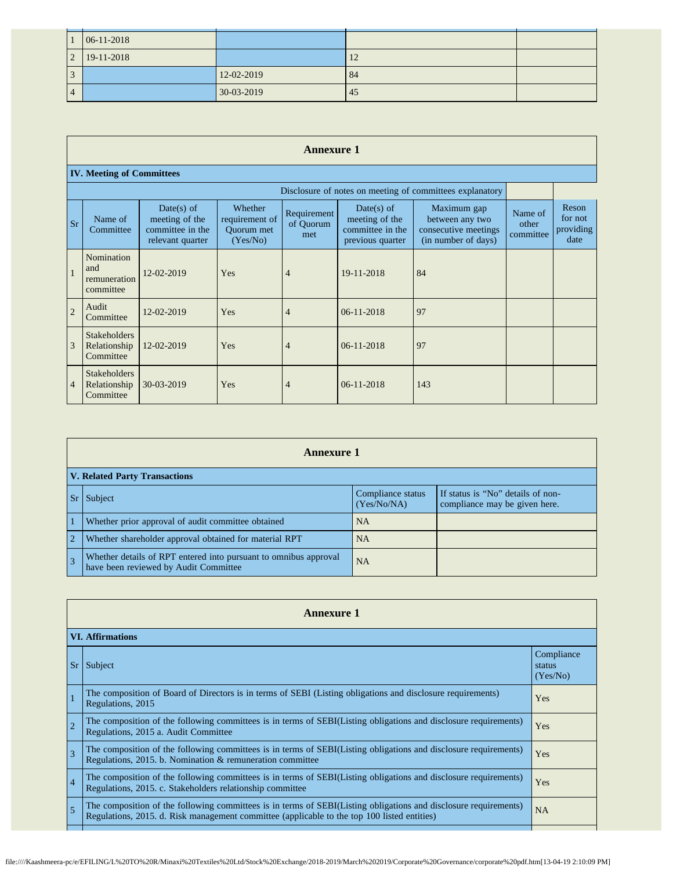| $\overline{1}$ | 06-11-2018 |              |    |  |
|----------------|------------|--------------|----|--|
| $\overline{2}$ | 19-11-2018 |              | 12 |  |
| 3              |            | 12-02-2019   | 84 |  |
| $\vert$ 4      |            | $30-03-2019$ | 45 |  |

## **Annexure 1**

## **IV. Meeting of Committees**

|                |                                                  | Disclosure of notes on meeting of committees explanatory             |                                                     |                                 |                                                                      |                                                                               |                               |                                       |
|----------------|--------------------------------------------------|----------------------------------------------------------------------|-----------------------------------------------------|---------------------------------|----------------------------------------------------------------------|-------------------------------------------------------------------------------|-------------------------------|---------------------------------------|
| <b>Sr</b>      | Name of<br>Committee                             | Date(s) of<br>meeting of the<br>committee in the<br>relevant quarter | Whether<br>requirement of<br>Quorum met<br>(Yes/No) | Requirement<br>of Quorum<br>met | Date(s) of<br>meeting of the<br>committee in the<br>previous quarter | Maximum gap<br>between any two<br>consecutive meetings<br>(in number of days) | Name of<br>other<br>committee | Reson<br>for not<br>providing<br>date |
| $\mathbf{1}$   | Nomination<br>and<br>remuneration<br>committee   | 12-02-2019                                                           | Yes                                                 | $\overline{4}$                  | 19-11-2018                                                           | 84                                                                            |                               |                                       |
| $\overline{2}$ | Audit<br>Committee                               | 12-02-2019                                                           | Yes                                                 | $\overline{4}$                  | $06-11-2018$                                                         | 97                                                                            |                               |                                       |
| 3              | <b>Stakeholders</b><br>Relationship<br>Committee | 12-02-2019                                                           | Yes                                                 | $\overline{4}$                  | 06-11-2018                                                           | 97                                                                            |                               |                                       |
| $\overline{4}$ | <b>Stakeholders</b><br>Relationship<br>Committee | 30-03-2019                                                           | Yes                                                 | $\overline{4}$                  | $06-11-2018$                                                         | 143                                                                           |                               |                                       |

|                | <b>Annexure 1</b>                                                                                         |                                  |                                                                    |  |  |
|----------------|-----------------------------------------------------------------------------------------------------------|----------------------------------|--------------------------------------------------------------------|--|--|
|                | <b>V. Related Party Transactions</b>                                                                      |                                  |                                                                    |  |  |
| $S_{r}$        | Subject                                                                                                   | Compliance status<br>(Yes/No/NA) | If status is "No" details of non-<br>compliance may be given here. |  |  |
|                | Whether prior approval of audit committee obtained                                                        | <b>NA</b>                        |                                                                    |  |  |
| $\overline{2}$ | Whether shareholder approval obtained for material RPT                                                    | <b>NA</b>                        |                                                                    |  |  |
| $\overline{3}$ | Whether details of RPT entered into pursuant to omnibus approval<br>have been reviewed by Audit Committee | <b>NA</b>                        |                                                                    |  |  |

|                | <b>Annexure 1</b>                                                                                                                                                                                               |                                  |  |  |  |
|----------------|-----------------------------------------------------------------------------------------------------------------------------------------------------------------------------------------------------------------|----------------------------------|--|--|--|
|                | <b>VI. Affirmations</b>                                                                                                                                                                                         |                                  |  |  |  |
| <sub>Sr</sub>  | Subject                                                                                                                                                                                                         | Compliance<br>status<br>(Yes/No) |  |  |  |
|                | The composition of Board of Directors is in terms of SEBI (Listing obligations and disclosure requirements)<br>Regulations, 2015                                                                                | Yes                              |  |  |  |
| $\overline{2}$ | The composition of the following committees is in terms of SEBI(Listing obligations and disclosure requirements)<br>Regulations, 2015 a. Audit Committee                                                        | Yes                              |  |  |  |
| 3              | The composition of the following committees is in terms of SEBI(Listing obligations and disclosure requirements)<br>Regulations, 2015. b. Nomination & remuneration committee                                   | Yes                              |  |  |  |
| $\overline{4}$ | The composition of the following committees is in terms of SEBI(Listing obligations and disclosure requirements)<br>Regulations, 2015. c. Stakeholders relationship committee                                   | Yes                              |  |  |  |
| $\overline{5}$ | The composition of the following committees is in terms of SEBI(Listing obligations and disclosure requirements)<br>Regulations, 2015. d. Risk management committee (applicable to the top 100 listed entities) | <b>NA</b>                        |  |  |  |
|                |                                                                                                                                                                                                                 |                                  |  |  |  |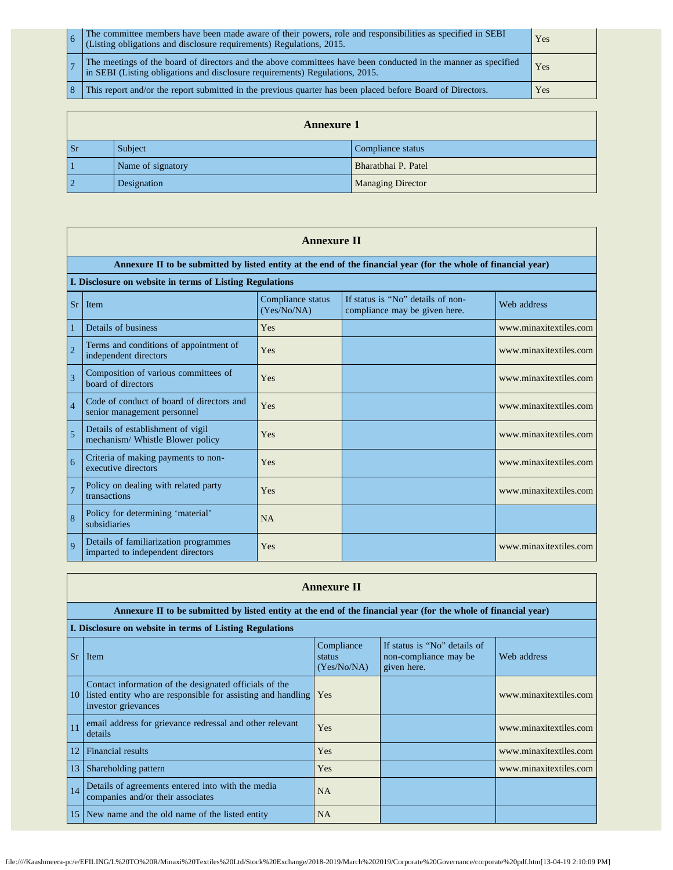| The committee members have been made aware of their powers, role and responsibilities as specified in SEBI<br>(Listing obligations and disclosure requirements) Regulations, 2015.             | Yes |
|------------------------------------------------------------------------------------------------------------------------------------------------------------------------------------------------|-----|
| The meetings of the board of directors and the above committees have been conducted in the manner as specified<br>in SEBI (Listing obligations and disclosure requirements) Regulations, 2015. | Yes |
| This report and/or the report submitted in the previous quarter has been placed before Board of Directors.                                                                                     | Yes |

|                | <b>Annexure 1</b> |                          |  |  |  |
|----------------|-------------------|--------------------------|--|--|--|
| <b>Sr</b>      | Subject           | Compliance status        |  |  |  |
|                | Name of signatory | Bharatbhai P. Patel      |  |  |  |
| $\overline{2}$ | Designation       | <b>Managing Director</b> |  |  |  |

|                | <b>Annexure II</b>                                                         |                                  |                                                                                                                 |                        |  |
|----------------|----------------------------------------------------------------------------|----------------------------------|-----------------------------------------------------------------------------------------------------------------|------------------------|--|
|                |                                                                            |                                  | Annexure II to be submitted by listed entity at the end of the financial year (for the whole of financial year) |                        |  |
|                | I. Disclosure on website in terms of Listing Regulations                   |                                  |                                                                                                                 |                        |  |
| Sr             | Item                                                                       | Compliance status<br>(Yes/No/NA) | If status is "No" details of non-<br>compliance may be given here.                                              | Web address            |  |
| $\mathbf{1}$   | Details of business                                                        | Yes                              |                                                                                                                 | www.minaxitextiles.com |  |
| $\overline{2}$ | Terms and conditions of appointment of<br>independent directors            | Yes                              |                                                                                                                 | www.minaxitextiles.com |  |
| 3              | Composition of various committees of<br>board of directors                 | Yes                              |                                                                                                                 | www.minaxitextiles.com |  |
| $\overline{4}$ | Code of conduct of board of directors and<br>senior management personnel   | Yes                              |                                                                                                                 | www.minaxitextiles.com |  |
| 5              | Details of establishment of vigil<br>mechanism/ Whistle Blower policy      | Yes                              |                                                                                                                 | www.minaxitextiles.com |  |
| 6              | Criteria of making payments to non-<br>executive directors                 | Yes                              |                                                                                                                 | www.minaxitextiles.com |  |
| $\overline{7}$ | Policy on dealing with related party<br>transactions                       | Yes                              |                                                                                                                 | www.minaxitextiles.com |  |
| $\overline{8}$ | Policy for determining 'material'<br>subsidiaries                          | NA                               |                                                                                                                 |                        |  |
| $\mathbf Q$    | Details of familiarization programmes<br>imparted to independent directors | Yes                              |                                                                                                                 | www.minaxitextiles.com |  |

|           | <b>Annexure II</b>                                                                                                                            |                                     |                                                                      |                        |  |  |  |
|-----------|-----------------------------------------------------------------------------------------------------------------------------------------------|-------------------------------------|----------------------------------------------------------------------|------------------------|--|--|--|
|           | Annexure II to be submitted by listed entity at the end of the financial year (for the whole of financial year)                               |                                     |                                                                      |                        |  |  |  |
|           | I. Disclosure on website in terms of Listing Regulations                                                                                      |                                     |                                                                      |                        |  |  |  |
| <b>Sr</b> | Item                                                                                                                                          | Compliance<br>status<br>(Yes/No/NA) | If status is "No" details of<br>non-compliance may be<br>given here. | Web address            |  |  |  |
| 10        | Contact information of the designated officials of the<br>listed entity who are responsible for assisting and handling<br>investor grievances | Yes                                 |                                                                      | www.minaxitextiles.com |  |  |  |
| 11        | email address for grievance redressal and other relevant<br>details                                                                           | Yes                                 |                                                                      | www.minaxitextiles.com |  |  |  |
| 12        | Financial results                                                                                                                             | Yes                                 |                                                                      | www.minaxitextiles.com |  |  |  |
| 13        | Shareholding pattern                                                                                                                          | Yes                                 |                                                                      | www.minaxitextiles.com |  |  |  |
| 14        | Details of agreements entered into with the media<br>companies and/or their associates                                                        | <b>NA</b>                           |                                                                      |                        |  |  |  |
| 15        | New name and the old name of the listed entity                                                                                                | <b>NA</b>                           |                                                                      |                        |  |  |  |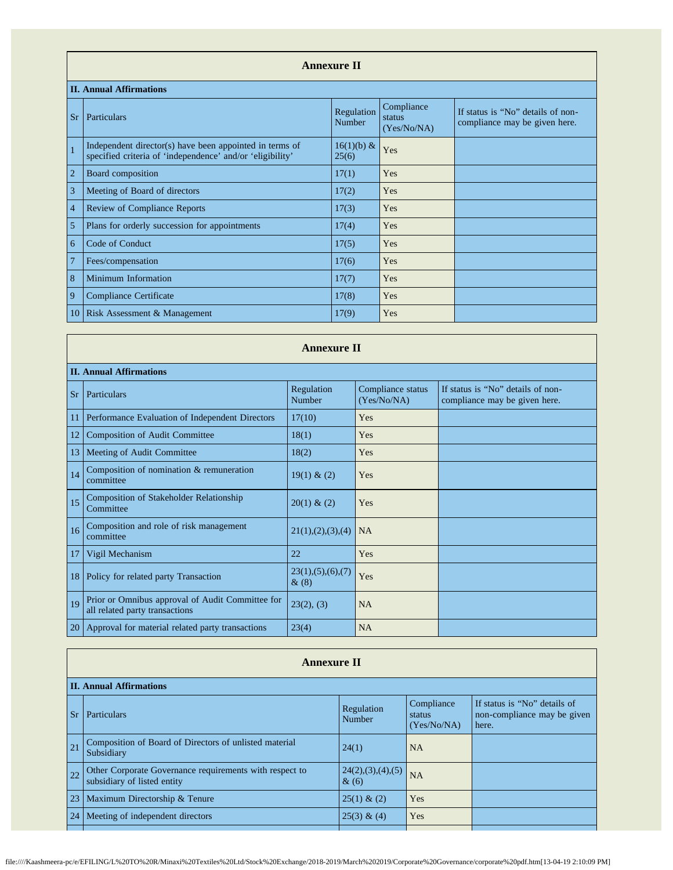|                | <b>Annexure II</b>                                                                                                   |                        |                                     |                                                                    |  |  |
|----------------|----------------------------------------------------------------------------------------------------------------------|------------------------|-------------------------------------|--------------------------------------------------------------------|--|--|
|                | <b>II. Annual Affirmations</b>                                                                                       |                        |                                     |                                                                    |  |  |
| <b>Sr</b>      | Particulars                                                                                                          | Regulation<br>Number   | Compliance<br>status<br>(Yes/No/NA) | If status is "No" details of non-<br>compliance may be given here. |  |  |
| $\mathbf{1}$   | Independent director(s) have been appointed in terms of<br>specified criteria of 'independence' and/or 'eligibility' | $16(1)(b) \&$<br>25(6) | Yes                                 |                                                                    |  |  |
| $\overline{2}$ | Board composition                                                                                                    | 17(1)                  | Yes                                 |                                                                    |  |  |
| 3              | Meeting of Board of directors                                                                                        | 17(2)                  | Yes                                 |                                                                    |  |  |
| $\overline{4}$ | <b>Review of Compliance Reports</b>                                                                                  | 17(3)                  | Yes                                 |                                                                    |  |  |
| 5              | Plans for orderly succession for appointments                                                                        | 17(4)                  | Yes                                 |                                                                    |  |  |
| 6              | Code of Conduct                                                                                                      | 17(5)                  | Yes                                 |                                                                    |  |  |
| $\overline{7}$ | Fees/compensation                                                                                                    | 17(6)                  | Yes                                 |                                                                    |  |  |
| 8              | Minimum Information                                                                                                  | 17(7)                  | Yes                                 |                                                                    |  |  |
| 9              | Compliance Certificate                                                                                               | 17(8)                  | Yes                                 |                                                                    |  |  |
| 10             | Risk Assessment & Management                                                                                         | 17(9)                  | Yes                                 |                                                                    |  |  |

|           | <b>Annexure II</b>                                                                 |                                 |                                  |                                                                    |  |  |  |
|-----------|------------------------------------------------------------------------------------|---------------------------------|----------------------------------|--------------------------------------------------------------------|--|--|--|
|           | <b>II. Annual Affirmations</b>                                                     |                                 |                                  |                                                                    |  |  |  |
| <b>Sr</b> | Particulars                                                                        | Regulation<br>Number            | Compliance status<br>(Yes/No/NA) | If status is "No" details of non-<br>compliance may be given here. |  |  |  |
|           | Performance Evaluation of Independent Directors                                    | 17(10)                          | Yes                              |                                                                    |  |  |  |
| 12        | <b>Composition of Audit Committee</b>                                              | 18(1)                           | Yes                              |                                                                    |  |  |  |
| 13        | Meeting of Audit Committee                                                         | 18(2)                           | Yes                              |                                                                    |  |  |  |
| 14        | Composition of nomination & remuneration<br>committee                              | 19(1) & (2)                     | Yes                              |                                                                    |  |  |  |
| 15        | <b>Composition of Stakeholder Relationship</b><br>Committee                        | 20(1) & (2)                     | Yes                              |                                                                    |  |  |  |
| 16        | Composition and role of risk management<br>committee                               | 21(1), (2), (3), (4)            | <b>NA</b>                        |                                                                    |  |  |  |
| 17        | Vigil Mechanism                                                                    | 22                              | Yes                              |                                                                    |  |  |  |
| 18        | Policy for related party Transaction                                               | 23(1), (5), (6), (7)<br>$\&(8)$ | Yes                              |                                                                    |  |  |  |
| 19        | Prior or Omnibus approval of Audit Committee for<br>all related party transactions | 23(2), (3)                      | <b>NA</b>                        |                                                                    |  |  |  |
| 20        | Approval for material related party transactions                                   | 23(4)                           | NA                               |                                                                    |  |  |  |

<u> Tanzania de la provincia de la provincia de la provincia de la provincia de la provincia de la provincia de la provincia de la provincia de la provincia de la provincia de la provincia de la provincia de la provincia de </u>

|           | <b>Annexure II</b>                                                                     |                              |                                     |                                                                      |  |  |
|-----------|----------------------------------------------------------------------------------------|------------------------------|-------------------------------------|----------------------------------------------------------------------|--|--|
|           | <b>II. Annual Affirmations</b>                                                         |                              |                                     |                                                                      |  |  |
| <b>Sr</b> | Particulars                                                                            | Regulation<br>Number         | Compliance<br>status<br>(Yes/No/NA) | If status is "No" details of<br>non-compliance may be given<br>here. |  |  |
| 21        | Composition of Board of Directors of unlisted material<br>Subsidiary                   | 24(1)                        | NA                                  |                                                                      |  |  |
| 22        | Other Corporate Governance requirements with respect to<br>subsidiary of listed entity | 24(2),(3),(4),(5)<br>$\&(6)$ | <b>NA</b>                           |                                                                      |  |  |
| 23        | Maximum Directorship & Tenure                                                          | 25(1) & (2)                  | Yes                                 |                                                                      |  |  |
| 24        | Meeting of independent directors                                                       | 25(3) & (4)                  | Yes                                 |                                                                      |  |  |
|           |                                                                                        |                              |                                     |                                                                      |  |  |